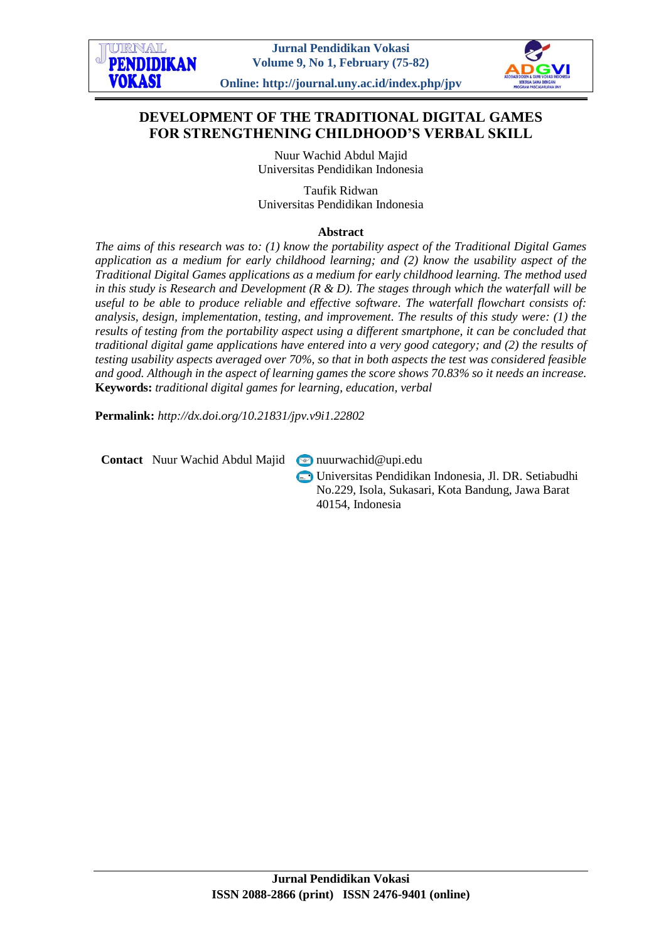

# **DEVELOPMENT OF THE TRADITIONAL DIGITAL GAMES FOR STRENGTHENING CHILDHOOD'S VERBAL SKILL**

Nuur Wachid Abdul Majid Universitas Pendidikan Indonesia

Taufik Ridwan Universitas Pendidikan Indonesia

#### **Abstract**

*The aims of this research was to: (1) know the portability aspect of the Traditional Digital Games application as a medium for early childhood learning; and (2) know the usability aspect of the Traditional Digital Games applications as a medium for early childhood learning. The method used in this study is Research and Development (R & D). The stages through which the waterfall will be useful to be able to produce reliable and effective software. The waterfall flowchart consists of: analysis, design, implementation, testing, and improvement. The results of this study were: (1) the results of testing from the portability aspect using a different smartphone, it can be concluded that traditional digital game applications have entered into a very good category; and (2) the results of testing usability aspects averaged over 70%, so that in both aspects the test was considered feasible and good. Although in the aspect of learning games the score shows 70.83% so it needs an increase.* **Keywords:** *traditional digital games for learning, education, verbal*

**Permalink:** *http://dx.doi.org/10.21831/jpv.v9i1.22802*

**Contact** Nuur Wachid Abdul Majid nuurwachid@upi.edu

Universitas Pendidikan Indonesia, Jl. DR. Setiabudhi No.229, Isola, Sukasari, Kota Bandung, Jawa Barat 40154, Indonesia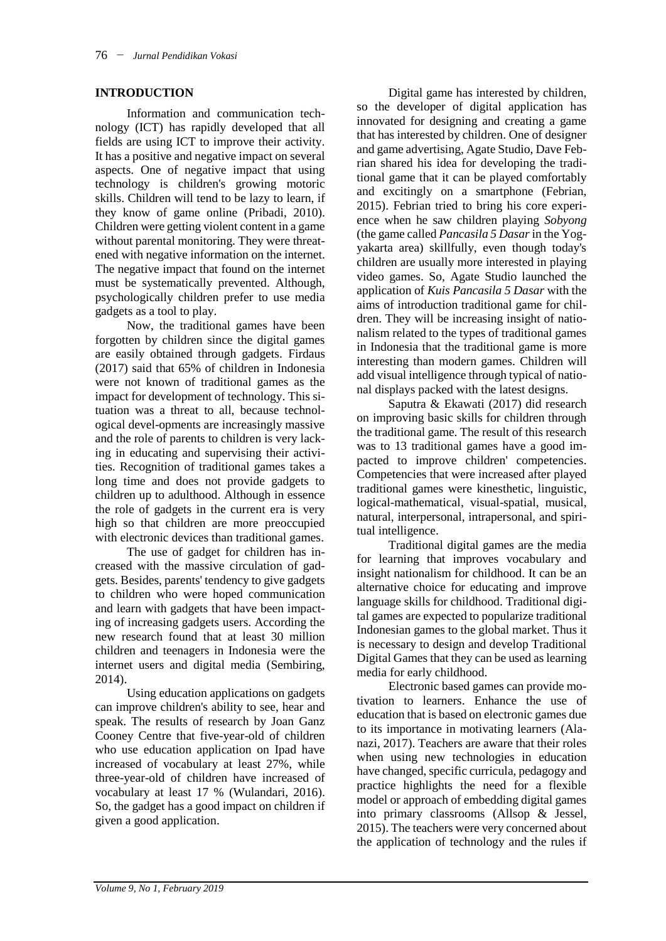## **INTRODUCTION**

Information and communication technology (ICT) has rapidly developed that all fields are using ICT to improve their activity. It has a positive and negative impact on several aspects. One of negative impact that using technology is children's growing motoric skills. Children will tend to be lazy to learn, if they know of game online (Pribadi, 2010). Children were getting violent content in a game without parental monitoring. They were threatened with negative information on the internet. The negative impact that found on the internet must be systematically prevented. Although, psychologically children prefer to use media gadgets as a tool to play.

Now, the traditional games have been forgotten by children since the digital games are easily obtained through gadgets. Firdaus (2017) said that 65% of children in Indonesia were not known of traditional games as the impact for development of technology. This situation was a threat to all, because technological devel-opments are increasingly massive and the role of parents to children is very lacking in educating and supervising their activities. Recognition of traditional games takes a long time and does not provide gadgets to children up to adulthood. Although in essence the role of gadgets in the current era is very high so that children are more preoccupied with electronic devices than traditional games.

The use of gadget for children has increased with the massive circulation of gadgets. Besides, parents' tendency to give gadgets to children who were hoped communication and learn with gadgets that have been impacting of increasing gadgets users. According the new research found that at least 30 million children and teenagers in Indonesia were the internet users and digital media (Sembiring, 2014).

Using education applications on gadgets can improve children's ability to see, hear and speak. The results of research by Joan Ganz Cooney Centre that five-year-old of children who use education application on Ipad have increased of vocabulary at least 27%, while three-year-old of children have increased of vocabulary at least 17 % (Wulandari, 2016). So, the gadget has a good impact on children if given a good application.

Digital game has interested by children, so the developer of digital application has innovated for designing and creating a game that has interested by children. One of designer and game advertising, Agate Studio, Dave Febrian shared his idea for developing the traditional game that it can be played comfortably and excitingly on a smartphone (Febrian, 2015). Febrian tried to bring his core experience when he saw children playing *Sobyong* (the game called *Pancasila 5 Dasar*in the Yogyakarta area) skillfully, even though today's children are usually more interested in playing video games. So, Agate Studio launched the application of *Kuis Pancasila 5 Dasar* with the aims of introduction traditional game for children. They will be increasing insight of nationalism related to the types of traditional games in Indonesia that the traditional game is more interesting than modern games. Children will add visual intelligence through typical of national displays packed with the latest designs.

Saputra & Ekawati (2017) did research on improving basic skills for children through the traditional game. The result of this research was to 13 traditional games have a good impacted to improve children' competencies. Competencies that were increased after played traditional games were kinesthetic, linguistic, logical-mathematical, visual-spatial, musical, natural, interpersonal, intrapersonal, and spiritual intelligence.

Traditional digital games are the media for learning that improves vocabulary and insight nationalism for childhood. It can be an alternative choice for educating and improve language skills for childhood. Traditional digital games are expected to popularize traditional Indonesian games to the global market. Thus it is necessary to design and develop Traditional Digital Games that they can be used as learning media for early childhood.

Electronic based games can provide motivation to learners. Enhance the use of education that is based on electronic games due to its importance in motivating learners (Alanazi, 2017). Teachers are aware that their roles when using new technologies in education have changed, specific curricula, pedagogy and practice highlights the need for a flexible model or approach of embedding digital games into primary classrooms (Allsop & Jessel, 2015). The teachers were very concerned about the application of technology and the rules if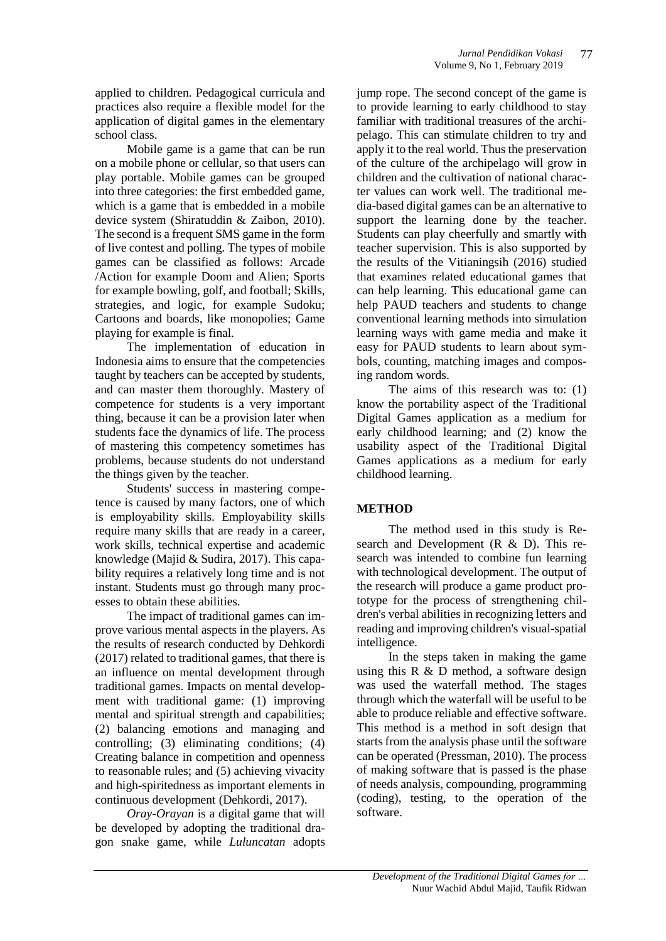applied to children. Pedagogical curricula and practices also require a flexible model for the application of digital games in the elementary school class.

Mobile game is a game that can be run on a mobile phone or cellular, so that users can play portable. Mobile games can be grouped into three categories: the first embedded game, which is a game that is embedded in a mobile device system (Shiratuddin & Zaibon, 2010). The second is a frequent SMS game in the form of live contest and polling. The types of mobile games can be classified as follows: Arcade /Action for example Doom and Alien; Sports for example bowling, golf, and football; Skills, strategies, and logic, for example Sudoku; Cartoons and boards, like monopolies; Game playing for example is final.

The implementation of education in Indonesia aims to ensure that the competencies taught by teachers can be accepted by students, and can master them thoroughly. Mastery of competence for students is a very important thing, because it can be a provision later when students face the dynamics of life. The process of mastering this competency sometimes has problems, because students do not understand the things given by the teacher.

Students' success in mastering competence is caused by many factors, one of which is employability skills. Employability skills require many skills that are ready in a career, work skills, technical expertise and academic knowledge (Majid & Sudira, 2017). This capability requires a relatively long time and is not instant. Students must go through many processes to obtain these abilities.

The impact of traditional games can improve various mental aspects in the players. As the results of research conducted by Dehkordi (2017) related to traditional games, that there is an influence on mental development through traditional games. Impacts on mental development with traditional game: (1) improving mental and spiritual strength and capabilities; (2) balancing emotions and managing and controlling; (3) eliminating conditions; (4) Creating balance in competition and openness to reasonable rules; and (5) achieving vivacity and high-spiritedness as important elements in continuous development (Dehkordi, 2017).

*Oray-Orayan* is a digital game that will be developed by adopting the traditional dragon snake game, while *Luluncatan* adopts jump rope. The second concept of the game is to provide learning to early childhood to stay familiar with traditional treasures of the archipelago. This can stimulate children to try and apply it to the real world. Thus the preservation of the culture of the archipelago will grow in children and the cultivation of national character values can work well. The traditional media-based digital games can be an alternative to support the learning done by the teacher. Students can play cheerfully and smartly with teacher supervision. This is also supported by the results of the Vitianingsih (2016) studied that examines r*e*lated educational games that can help learning. This educational game can help PAUD teachers and students to change conventional learning methods into simulation learning ways with game media and make it easy for PAUD students to learn about symbols, counting, matching images and composing random words.

The aims of this research was to: (1) know the portability aspect of the Traditional Digital Games application as a medium for early childhood learning; and (2) know the usability aspect of the Traditional Digital Games applications as a medium for early childhood learning.

## **METHOD**

The method used in this study is Research and Development (R & D). This research was intended to combine fun learning with technological development. The output of the research will produce a game product prototype for the process of strengthening children's verbal abilities in recognizing letters and reading and improving children's visual-spatial intelligence.

In the steps taken in making the game using this  $R \& D$  method, a software design was used the waterfall method. The stages through which the waterfall will be useful to be able to produce reliable and effective software. This method is a method in soft design that starts from the analysis phase until the software can be operated (Pressman, 2010). The process of making software that is passed is the phase of needs analysis, compounding, programming (coding), testing, to the operation of the software.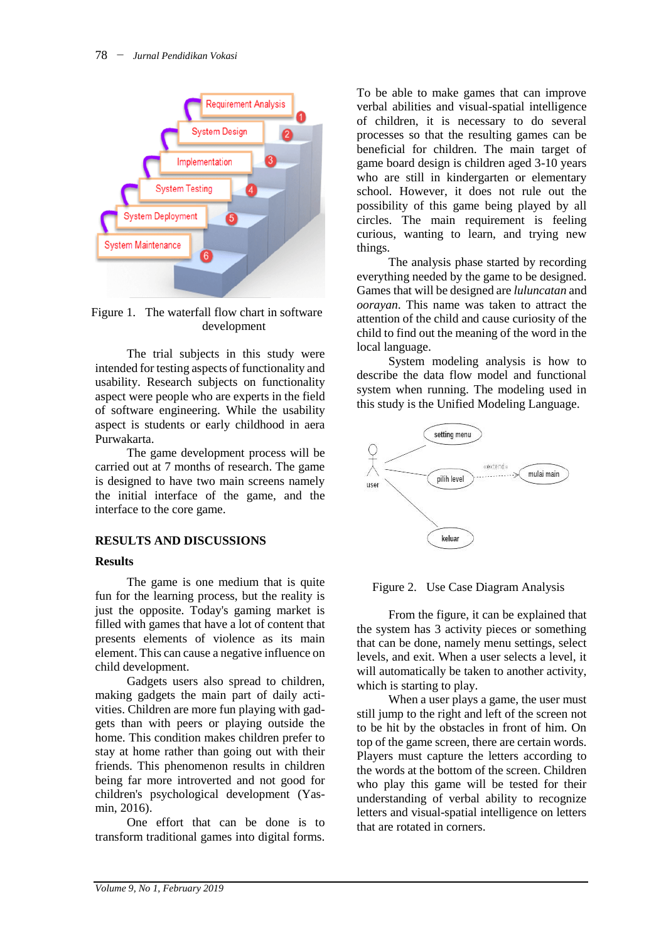

Figure 1. The waterfall flow chart in software development

The trial subjects in this study were intended for testing aspects of functionality and usability. Research subjects on functionality aspect were people who are experts in the field of software engineering. While the usability aspect is students or early childhood in aera Purwakarta.

The game development process will be carried out at 7 months of research. The game is designed to have two main screens namely the initial interface of the game, and the interface to the core game.

## **RESULTS AND DISCUSSIONS**

## **Results**

The game is one medium that is quite fun for the learning process, but the reality is just the opposite. Today's gaming market is filled with games that have a lot of content that presents elements of violence as its main element. This can cause a negative influence on child development.

Gadgets users also spread to children, making gadgets the main part of daily activities. Children are more fun playing with gadgets than with peers or playing outside the home. This condition makes children prefer to stay at home rather than going out with their friends. This phenomenon results in children being far more introverted and not good for children's psychological development (Yasmin, 2016).

One effort that can be done is to transform traditional games into digital forms. To be able to make games that can improve verbal abilities and visual-spatial intelligence of children, it is necessary to do several processes so that the resulting games can be beneficial for children. The main target of game board design is children aged 3-10 years who are still in kindergarten or elementary school. However, it does not rule out the possibility of this game being played by all circles. The main requirement is feeling curious, wanting to learn, and trying new things.

The analysis phase started by recording everything needed by the game to be designed. Games that will be designed are *luluncatan* and *oorayan*. This name was taken to attract the attention of the child and cause curiosity of the child to find out the meaning of the word in the local language.

System modeling analysis is how to describe the data flow model and functional system when running. The modeling used in this study is the Unified Modeling Language.



Figure 2. Use Case Diagram Analysis

From the figure, it can be explained that the system has 3 activity pieces or something that can be done, namely menu settings, select levels, and exit. When a user selects a level, it will automatically be taken to another activity, which is starting to play.

When a user plays a game, the user must still jump to the right and left of the screen not to be hit by the obstacles in front of him. On top of the game screen, there are certain words. Players must capture the letters according to the words at the bottom of the screen. Children who play this game will be tested for their understanding of verbal ability to recognize letters and visual-spatial intelligence on letters that are rotated in corners.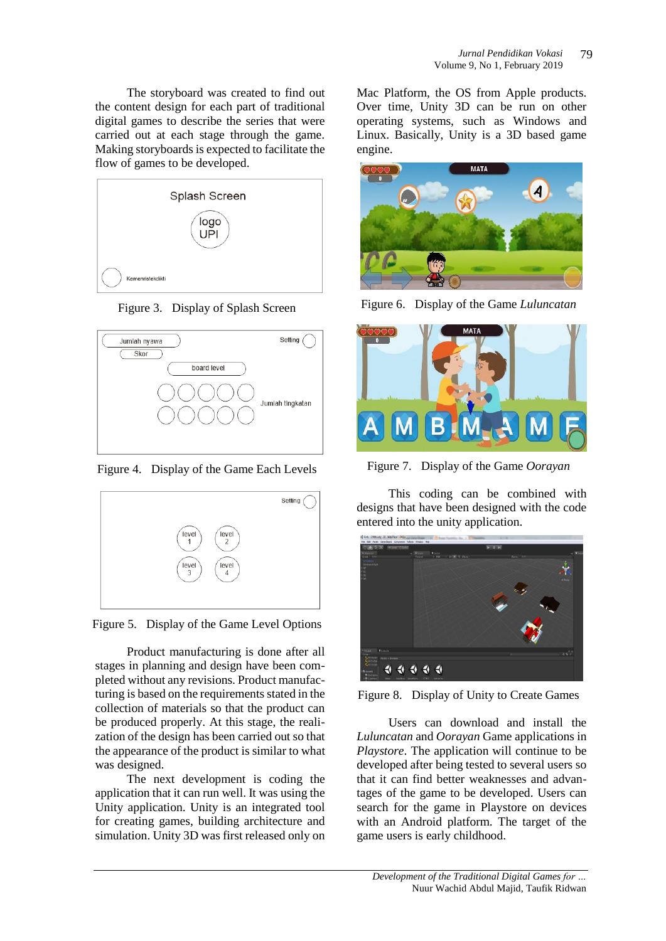The storyboard was created to find out the content design for each part of traditional digital games to describe the series that were carried out at each stage through the game. Making storyboards is expected to facilitate the flow of games to be developed.



Figure 3. Display of Splash Screen



Figure 4. Display of the Game Each Levels



Figure 5. Display of the Game Level Options

Product manufacturing is done after all stages in planning and design have been completed without any revisions. Product manufacturing is based on the requirements stated in the collection of materials so that the product can be produced properly. At this stage, the realization of the design has been carried out so that the appearance of the product is similar to what was designed.

The next development is coding the application that it can run well. It was using the Unity application. Unity is an integrated tool for creating games, building architecture and simulation. Unity 3D was first released only on Mac Platform, the OS from Apple products. Over time, Unity 3D can be run on other operating systems, such as Windows and Linux. Basically, Unity is a 3D based game engine.



Figure 6. Display of the Game *Luluncatan*



Figure 7. Display of the Game *Oorayan*

This coding can be combined with designs that have been designed with the code entered into the unity application.



Figure 8. Display of Unity to Create Games

Users can download and install the *Luluncatan* and *Oorayan* Game applications in *Playstore*. The application will continue to be developed after being tested to several users so that it can find better weaknesses and advantages of the game to be developed. Users can search for the game in Playstore on devices with an Android platform. The target of the game users is early childhood.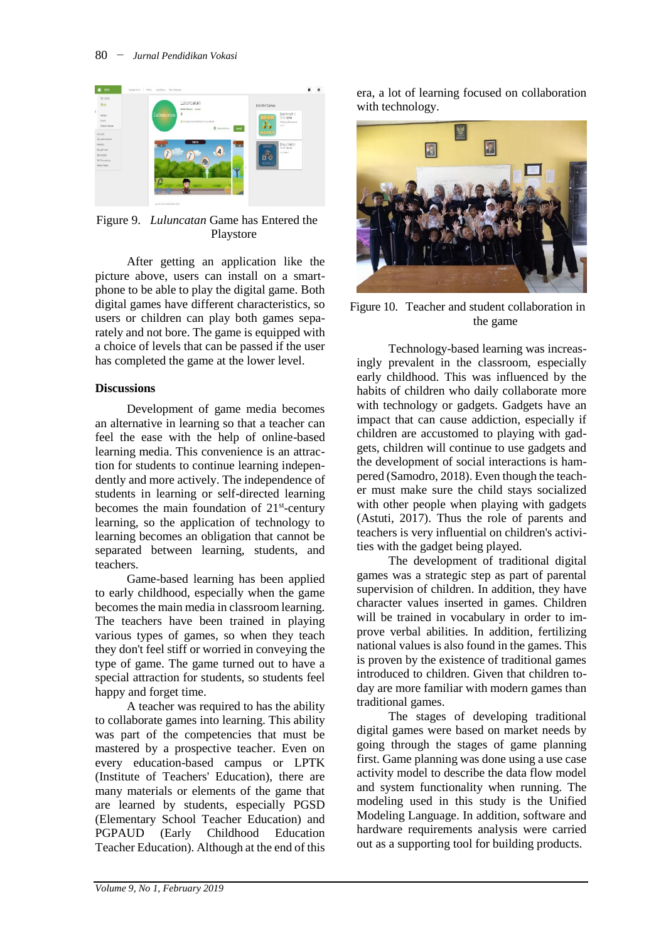

Figure 9. *Luluncatan* Game has Entered the Playstore

After getting an application like the picture above, users can install on a smartphone to be able to play the digital game. Both digital games have different characteristics, so users or children can play both games separately and not bore. The game is equipped with a choice of levels that can be passed if the user has completed the game at the lower level.

#### **Discussions**

Development of game media becomes an alternative in learning so that a teacher can feel the ease with the help of online-based learning media. This convenience is an attraction for students to continue learning independently and more actively. The independence of students in learning or self-directed learning becomes the main foundation of 21<sup>st</sup>-century learning, so the application of technology to learning becomes an obligation that cannot be separated between learning, students, and teachers.

Game-based learning has been applied to early childhood, especially when the game becomes the main media in classroom learning. The teachers have been trained in playing various types of games, so when they teach they don't feel stiff or worried in conveying the type of game. The game turned out to have a special attraction for students, so students feel happy and forget time.

A teacher was required to has the ability to collaborate games into learning. This ability was part of the competencies that must be mastered by a prospective teacher. Even on every education-based campus or LPTK (Institute of Teachers' Education), there are many materials or elements of the game that are learned by students, especially PGSD (Elementary School Teacher Education) and PGPAUD (Early Childhood Education Teacher Education). Although at the end of this

era, a lot of learning focused on collaboration with technology.



Figure 10. Teacher and student collaboration in the game

Technology-based learning was increasingly prevalent in the classroom, especially early childhood. This was influenced by the habits of children who daily collaborate more with technology or gadgets. Gadgets have an impact that can cause addiction, especially if children are accustomed to playing with gadgets, children will continue to use gadgets and the development of social interactions is hampered (Samodro, 2018). Even though the teacher must make sure the child stays socialized with other people when playing with gadgets (Astuti, 2017). Thus the role of parents and teachers is very influential on children's activities with the gadget being played.

The development of traditional digital games was a strategic step as part of parental supervision of children. In addition, they have character values inserted in games. Children will be trained in vocabulary in order to improve verbal abilities. In addition, fertilizing national values is also found in the games. This is proven by the existence of traditional games introduced to children. Given that children today are more familiar with modern games than traditional games.

The stages of developing traditional digital games were based on market needs by going through the stages of game planning first. Game planning was done using a use case activity model to describe the data flow model and system functionality when running. The modeling used in this study is the Unified Modeling Language. In addition, software and hardware requirements analysis were carried out as a supporting tool for building products.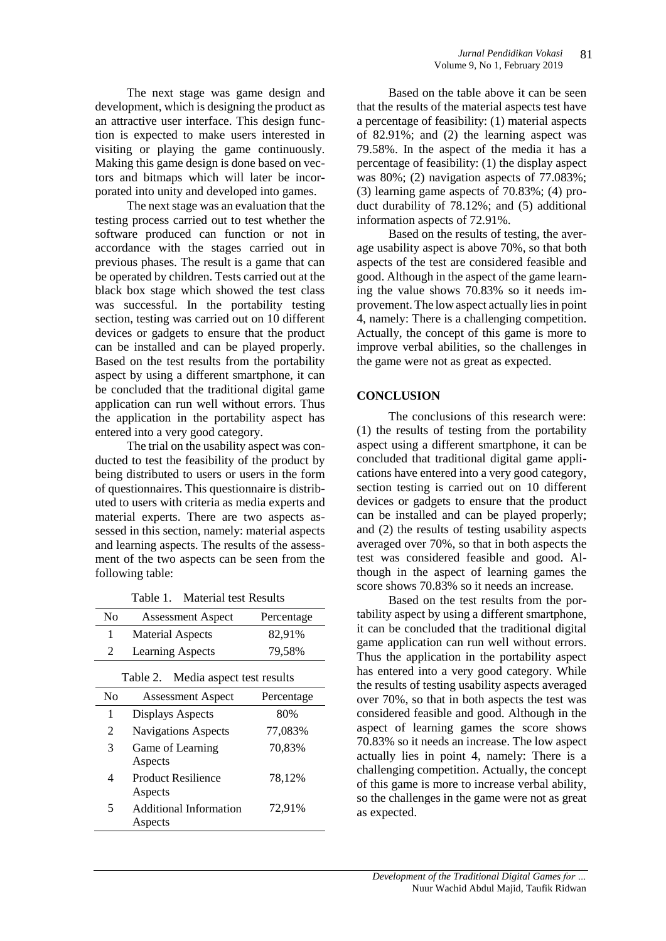The next stage was game design and development, which is designing the product as an attractive user interface. This design function is expected to make users interested in visiting or playing the game continuously. Making this game design is done based on vectors and bitmaps which will later be incorporated into unity and developed into games.

The next stage was an evaluation that the testing process carried out to test whether the software produced can function or not in accordance with the stages carried out in previous phases. The result is a game that can be operated by children. Tests carried out at the black box stage which showed the test class was successful. In the portability testing section, testing was carried out on 10 different devices or gadgets to ensure that the product can be installed and can be played properly. Based on the test results from the portability aspect by using a different smartphone, it can be concluded that the traditional digital game application can run well without errors. Thus the application in the portability aspect has entered into a very good category.

The trial on the usability aspect was conducted to test the feasibility of the product by being distributed to users or users in the form of questionnaires. This questionnaire is distributed to users with criteria as media experts and material experts. There are two aspects assessed in this section, namely: material aspects and learning aspects. The results of the assessment of the two aspects can be seen from the following table:

Table 1. Material test Results

| N <sub>0</sub>                        | <b>Assessment Aspect</b>   | Percentage |
|---------------------------------------|----------------------------|------------|
| 1                                     | <b>Material Aspects</b>    | 82,91%     |
| 2                                     | <b>Learning Aspects</b>    | 79,58%     |
| Media aspect test results<br>Table 2. |                            |            |
| No                                    | <b>Assessment Aspect</b>   | Percentage |
| 1                                     | <b>Displays Aspects</b>    | 80%        |
| 2                                     | <b>Navigations Aspects</b> | 77,083%    |
| 3                                     | Game of Learning           | 70,83%     |
|                                       | Aspects                    |            |
| 4                                     | <b>Product Resilience</b>  | 78,12%     |
|                                       | Aspects                    |            |
| 5                                     | Additional Information     | 72,91%     |
|                                       | Aspects                    |            |

Based on the table above it can be seen that the results of the material aspects test have a percentage of feasibility: (1) material aspects of 82.91%; and (2) the learning aspect was 79.58%. In the aspect of the media it has a percentage of feasibility: (1) the display aspect was  $80\%$ ; (2) navigation aspects of  $77.083\%$ ; (3) learning game aspects of 70.83%; (4) product durability of 78.12%; and (5) additional information aspects of 72.91%.

Based on the results of testing, the average usability aspect is above 70%, so that both aspects of the test are considered feasible and good. Although in the aspect of the game learning the value shows 70.83% so it needs improvement. The low aspect actually lies in point 4, namely: There is a challenging competition. Actually, the concept of this game is more to improve verbal abilities, so the challenges in the game were not as great as expected.

## **CONCLUSION**

The conclusions of this research were: (1) the results of testing from the portability aspect using a different smartphone, it can be concluded that traditional digital game applications have entered into a very good category, section testing is carried out on 10 different devices or gadgets to ensure that the product can be installed and can be played properly; and (2) the results of testing usability aspects averaged over 70%, so that in both aspects the test was considered feasible and good. Although in the aspect of learning games the score shows 70.83% so it needs an increase.

Based on the test results from the portability aspect by using a different smartphone, it can be concluded that the traditional digital game application can run well without errors. Thus the application in the portability aspect has entered into a very good category. While the results of testing usability aspects averaged over 70%, so that in both aspects the test was considered feasible and good. Although in the aspect of learning games the score shows 70.83% so it needs an increase. The low aspect actually lies in point 4, namely: There is a challenging competition. Actually, the concept of this game is more to increase verbal ability, so the challenges in the game were not as great as expected.